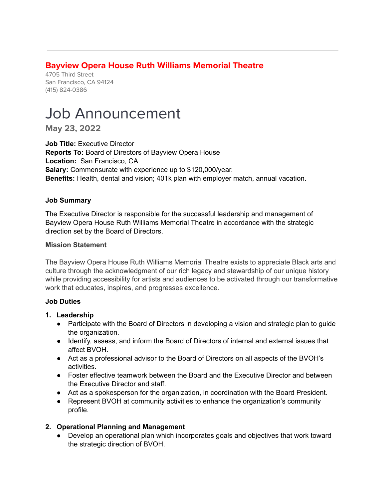## **Bayview Opera House Ruth Williams Memorial Theatre**

4705 Third Street San Francisco, CA 94124 (415) 824-0386

# Job Announcement

**May 23, 2022**

**Job Title:** Executive Director **Reports To:** Board of Directors of Bayview Opera House **Location:** San Francisco, CA **Salary:** Commensurate with experience up to \$120,000/year. **Benefits:** Health, dental and vision; 401k plan with employer match, annual vacation.

#### **Job Summary**

The Executive Director is responsible for the successful leadership and management of Bayview Opera House Ruth Williams Memorial Theatre in accordance with the strategic direction set by the Board of Directors.

#### **Mission Statement**

The Bayview Opera House Ruth Williams Memorial Theatre exists to appreciate Black arts and culture through the acknowledgment of our rich legacy and stewardship of our unique history while providing accessibility for artists and audiences to be activated through our transformative work that educates, inspires, and progresses excellence.

#### **Job Duties**

- **1. Leadership**
	- Participate with the Board of Directors in developing a vision and strategic plan to guide the organization.
	- Identify, assess, and inform the Board of Directors of internal and external issues that affect BVOH.
	- Act as a professional advisor to the Board of Directors on all aspects of the BVOH's activities.
	- Foster effective teamwork between the Board and the Executive Director and between the Executive Director and staff.
	- Act as a spokesperson for the organization, in coordination with the Board President.
	- Represent BVOH at community activities to enhance the organization's community profile.

### **2. Operational Planning and Management**

● Develop an operational plan which incorporates goals and objectives that work toward the strategic direction of BVOH.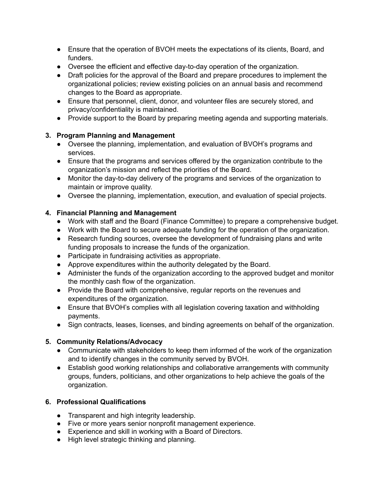- Ensure that the operation of BVOH meets the expectations of its clients, Board, and funders.
- Oversee the efficient and effective day-to-day operation of the organization.
- Draft policies for the approval of the Board and prepare procedures to implement the organizational policies; review existing policies on an annual basis and recommend changes to the Board as appropriate.
- Ensure that personnel, client, donor, and volunteer files are securely stored, and privacy/confidentiality is maintained.
- Provide support to the Board by preparing meeting agenda and supporting materials.

## **3. Program Planning and Management**

- Oversee the planning, implementation, and evaluation of BVOH's programs and services.
- Ensure that the programs and services offered by the organization contribute to the organization's mission and reflect the priorities of the Board.
- Monitor the day-to-day delivery of the programs and services of the organization to maintain or improve quality.
- Oversee the planning, implementation, execution, and evaluation of special projects.

## **4. Financial Planning and Management**

- Work with staff and the Board (Finance Committee) to prepare a comprehensive budget.
- Work with the Board to secure adequate funding for the operation of the organization.
- Research funding sources, oversee the development of fundraising plans and write funding proposals to increase the funds of the organization.
- Participate in fundraising activities as appropriate.
- Approve expenditures within the authority delegated by the Board.
- Administer the funds of the organization according to the approved budget and monitor the monthly cash flow of the organization.
- Provide the Board with comprehensive, regular reports on the revenues and expenditures of the organization.
- Ensure that BVOH's complies with all legislation covering taxation and withholding payments.
- Sign contracts, leases, licenses, and binding agreements on behalf of the organization.

## **5. Community Relations/Advocacy**

- Communicate with stakeholders to keep them informed of the work of the organization and to identify changes in the community served by BVOH.
- Establish good working relationships and collaborative arrangements with community groups, funders, politicians, and other organizations to help achieve the goals of the organization.

## **6. Professional Qualifications**

- Transparent and high integrity leadership.
- Five or more years senior nonprofit management experience.
- Experience and skill in working with a Board of Directors.
- High level strategic thinking and planning.